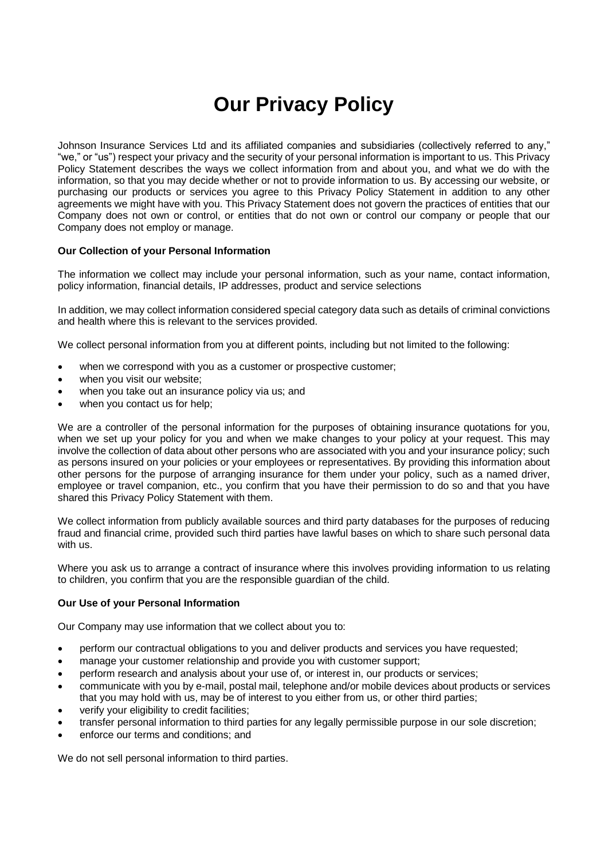# **Our Privacy Policy**

Johnson Insurance Services Ltd and its affiliated companies and subsidiaries (collectively referred to any," "we," or "us") respect your privacy and the security of your personal information is important to us. This Privacy Policy Statement describes the ways we collect information from and about you, and what we do with the information, so that you may decide whether or not to provide information to us. By accessing our website, or purchasing our products or services you agree to this Privacy Policy Statement in addition to any other agreements we might have with you. This Privacy Statement does not govern the practices of entities that our Company does not own or control, or entities that do not own or control our company or people that our Company does not employ or manage.

### **Our Collection of your Personal Information**

The information we collect may include your personal information, such as your name, contact information, policy information, financial details, IP addresses, product and service selections

In addition, we may collect information considered special category data such as details of criminal convictions and health where this is relevant to the services provided.

We collect personal information from you at different points, including but not limited to the following:

- when we correspond with you as a customer or prospective customer;
- when you visit our website;
- when you take out an insurance policy via us; and
- when you contact us for help;

We are a controller of the personal information for the purposes of obtaining insurance quotations for you, when we set up your policy for you and when we make changes to your policy at your request. This may involve the collection of data about other persons who are associated with you and your insurance policy; such as persons insured on your policies or your employees or representatives. By providing this information about other persons for the purpose of arranging insurance for them under your policy, such as a named driver, employee or travel companion, etc., you confirm that you have their permission to do so and that you have shared this Privacy Policy Statement with them.

We collect information from publicly available sources and third party databases for the purposes of reducing fraud and financial crime, provided such third parties have lawful bases on which to share such personal data with us.

Where you ask us to arrange a contract of insurance where this involves providing information to us relating to children, you confirm that you are the responsible guardian of the child.

#### **Our Use of your Personal Information**

Our Company may use information that we collect about you to:

- perform our contractual obligations to you and deliver products and services you have requested;
- manage your customer relationship and provide you with customer support;
- perform research and analysis about your use of, or interest in, our products or services;
- communicate with you by e-mail, postal mail, telephone and/or mobile devices about products or services that you may hold with us, may be of interest to you either from us, or other third parties;
- verify your eligibility to credit facilities:
- transfer personal information to third parties for any legally permissible purpose in our sole discretion;
- enforce our terms and conditions; and

We do not sell personal information to third parties.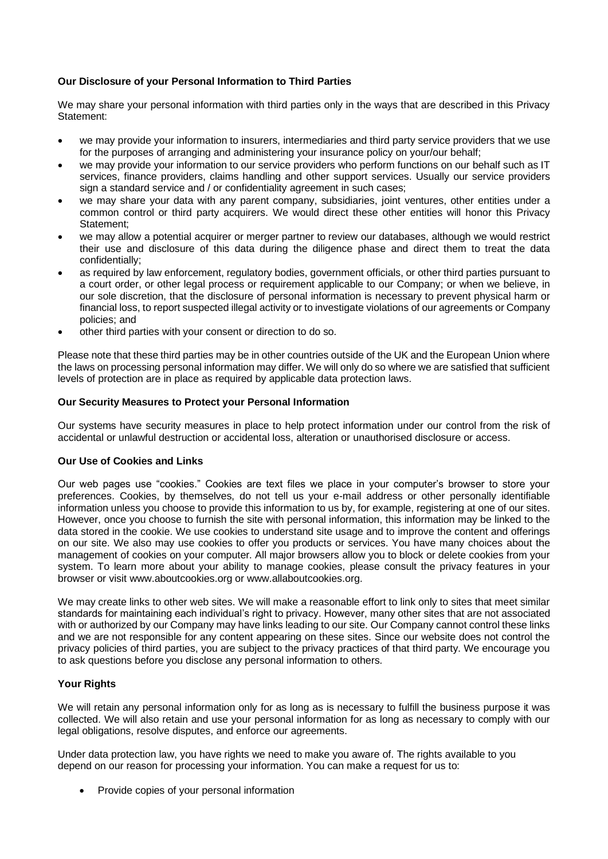## **Our Disclosure of your Personal Information to Third Parties**

We may share your personal information with third parties only in the ways that are described in this Privacy Statement:

- we may provide your information to insurers, intermediaries and third party service providers that we use for the purposes of arranging and administering your insurance policy on your/our behalf;
- we may provide your information to our service providers who perform functions on our behalf such as IT services, finance providers, claims handling and other support services. Usually our service providers sign a standard service and / or confidentiality agreement in such cases;
- we may share your data with any parent company, subsidiaries, joint ventures, other entities under a common control or third party acquirers. We would direct these other entities will honor this Privacy Statement;
- we may allow a potential acquirer or merger partner to review our databases, although we would restrict their use and disclosure of this data during the diligence phase and direct them to treat the data confidentially;
- as required by law enforcement, regulatory bodies, government officials, or other third parties pursuant to a court order, or other legal process or requirement applicable to our Company; or when we believe, in our sole discretion, that the disclosure of personal information is necessary to prevent physical harm or financial loss, to report suspected illegal activity or to investigate violations of our agreements or Company policies; and
- other third parties with your consent or direction to do so.

Please note that these third parties may be in other countries outside of the UK and the European Union where the laws on processing personal information may differ. We will only do so where we are satisfied that sufficient levels of protection are in place as required by applicable data protection laws.

#### **Our Security Measures to Protect your Personal Information**

Our systems have security measures in place to help protect information under our control from the risk of accidental or unlawful destruction or accidental loss, alteration or unauthorised disclosure or access.

### **Our Use of Cookies and Links**

Our web pages use "cookies." Cookies are text files we place in your computer's browser to store your preferences. Cookies, by themselves, do not tell us your e-mail address or other personally identifiable information unless you choose to provide this information to us by, for example, registering at one of our sites. However, once you choose to furnish the site with personal information, this information may be linked to the data stored in the cookie. We use cookies to understand site usage and to improve the content and offerings on our site. We also may use cookies to offer you products or services. You have many choices about the management of cookies on your computer. All major browsers allow you to block or delete cookies from your system. To learn more about your ability to manage cookies, please consult the privacy features in your browser or visit [www.aboutcookies.org](http://www.aboutcookies.org/) or [www.allaboutcookies.org.](http://www.allaboutcookies.org/)

We may create links to other web sites. We will make a reasonable effort to link only to sites that meet similar standards for maintaining each individual's right to privacy. However, many other sites that are not associated with or authorized by our Company may have links leading to our site. Our Company cannot control these links and we are not responsible for any content appearing on these sites. Since our website does not control the privacy policies of third parties, you are subject to the privacy practices of that third party. We encourage you to ask questions before you disclose any personal information to others.

### **Your Rights**

We will retain any personal information only for as long as is necessary to fulfill the business purpose it was collected. We will also retain and use your personal information for as long as necessary to comply with our legal obligations, resolve disputes, and enforce our agreements.

Under data protection law, you have rights we need to make you aware of. The rights available to you depend on our reason for processing your information. You can make a request for us to:

• Provide copies of your personal information